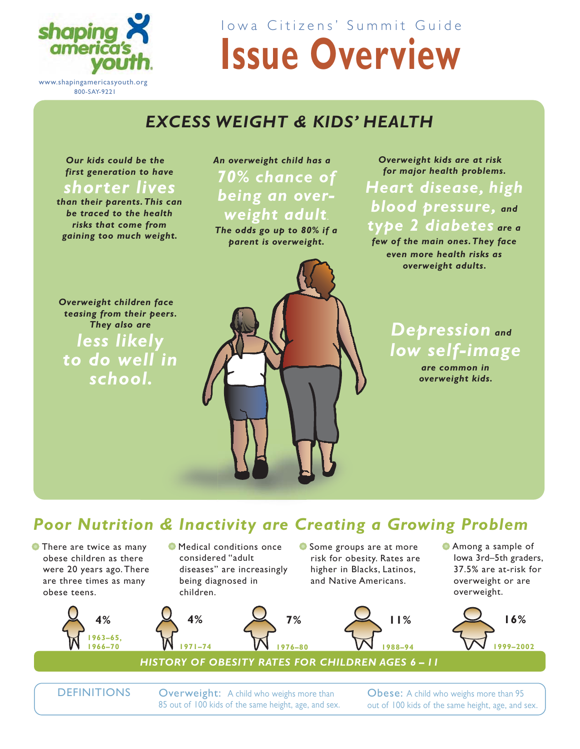

**Issue Overview** Iowa Citizens' Summit Guide

## *EXCESS WEIGHT & KIDS' HEALTH*

*Our kids could be the first generation to have* 

### *shorter lives*

*than their parents. This can be traced to the health risks that come from gaining too much weight.* 

## *An overweight child has a 70% chance of being an overweight adult.*

*The odds go up to 80% if a parent is overweight.*

*Overweight kids are at risk for major health problems.* 

*Heart disease, high blood pressure, and type 2 diabetes are a few of the main ones. They face even more health risks as* 

*overweight adults.*

*Depression and low self-image*

> *are common in overweight kids.*

*Overweight children face teasing from their peers. They also are less likely to do well in school.*



## *Poor Nutrition & Inactivity are Creating a Growing Problem on & Inactivity are Creating C a*

**7%**

**• There are twice as many** obese children as there were 20 years ago. There are three times as many obese teens.





**1971–74**

**4%**

**•** Some groups are at more risk for obesity. Rates are higher in Blacks, Latinos, and Native Americans.



• Among a sample of Iowa 3rd–5th graders, 37.5% are at-risk for overweight or are overweight.



DEFINITIONS

Overweight: A child who weighs more than 85 out of 100 kids of the same height, age, and sex. Obese: A child who weighs more than 95 out of 100 kids of the same height, age, and sex.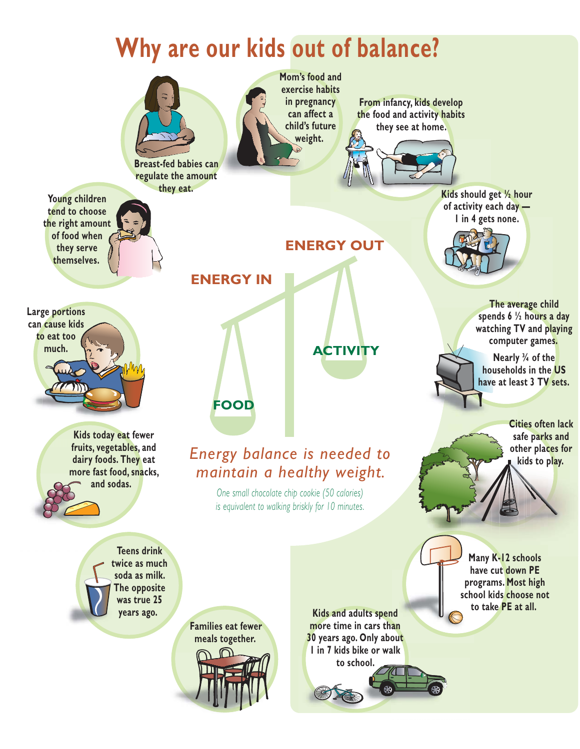#### **ENERGY IN FOOD ACTIVITY ENERGY OUT Why are our kids out of balance? Energy balance is needed to** *Maintain a healthy weight.* One small chocolate chip cookie (50 calories) *Is equivalent to walking briskly for 10 minutes.* **From infancy, kids develop the food and activity habits** they see at home. Kids should get 1/<sub>2</sub> hour of activity each day -**I** in 4 gets none. **Kids and adults spend** more time in cars than **30 years ago. Only about I** in 7 kids bike or walk to school. **Cities often lack** safe parks and other places for **kids to play. Many K-12 schools** have cut down PE programs. Most high school kids choose not to take PE at all. The average child spends 6 <sup>1/2</sup> hours a day watching TV and playing computer games. **Nearly** 3/4 of the **households in the US** have at least 3 TV sets. **Breast-fed babies can** regulate the amount they eat. **Young children** tend to choose the right amount of food when they serve themselves. **Families eat fewer** meals together. **Large portions** can cause kids to eat too much. **Kids today eat fewer** fruits, vegetables, and dairy foods. They eat more fast food, snacks, and sodas. **Teens drink** twice as much soda as milk. **The opposite was true 25 years** ago. **Mom's food and Exercise habits** in pregnancy can affect a child's future weight.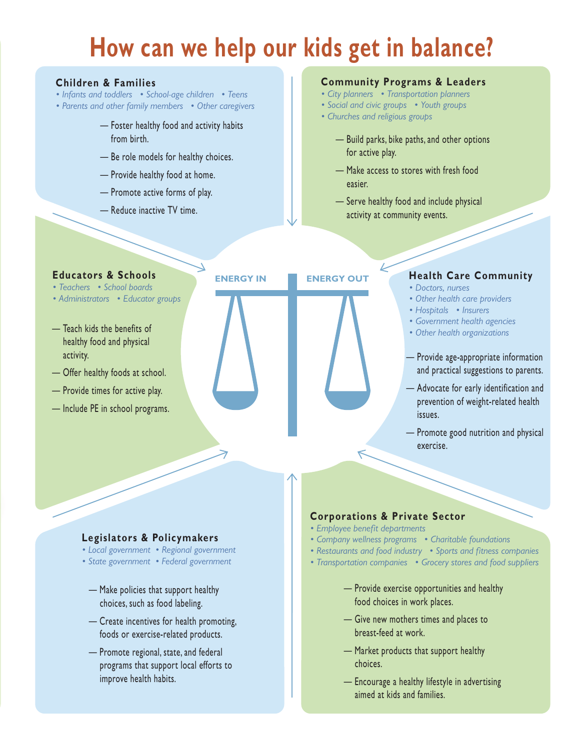# How can we help our kids get in balance?

#### **Children & Families**

- Infants and toddlers School-age children Teens
- Parents and other family members Other caregivers
	- Foster healthy food and activity habits from birth.
	- Be role models for healthy choices.
	- Provide healthy food at home.
	- Promote active forms of play.
	- Reduce inactive TV time.

#### **Community Programs & Leaders**

- City planners Transportation planners
- Social and civic groups Youth groups
- Churches and religious groups
	- Build parks, bike paths, and other options for active play.
	- Make access to stores with fresh food easier
	- Serve healthy food and include physical activity at community events.

**Educators & Schools** • Teachers • School boards

- Administrators Educator groups
- Teach kids the benefits of healthy food and physical activity.
- Offer healthy foods at school.
- Provide times for active play.
- Include PE in school programs.



#### **Health Care Community**

- · Doctors, nurses
- Other health care providers
- Hospitals Insurers
- Government health agencies
- Other health organizations
- Provide age-appropriate information and practical suggestions to parents.
- Advocate for early identification and prevention of weight-related health issues.
- Promote good nutrition and physical exercise.

#### Legislators & Policymakers

- Local government Regional government
- State government Federal government
- Make policies that support healthy choices, such as food labeling.
- Create incentives for health promoting, foods or exercise-related products.
- Promote regional, state, and federal programs that support local efforts to improve health habits.

#### **Corporations & Private Sector**

- · Employee benefit departments
- Company wellness programs Charitable foundations
- Restaurants and food industry Sports and fitness companies
- Transportation companies Grocery stores and food suppliers
	- Provide exercise opportunities and healthy food choices in work places.
	- Give new mothers times and places to breast-feed at work.
	- Market products that support healthy choices.
	- Encourage a healthy lifestyle in advertising aimed at kids and families